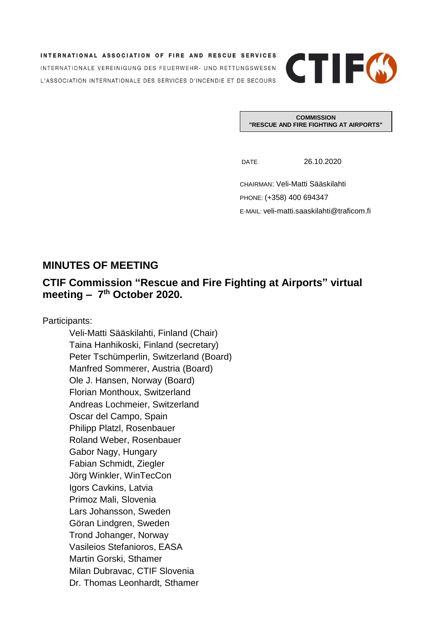INTERNATIONAL ASSOCIATION OF FIRE AND RESCUE SERVICES INTERNATIONALE VEREINIGUNG DES FEUERWEHR- UND RETTUNGSWESEN L'ASSOCIATION INTERNATIONALE DES SERVICES D'INCENDIE ET DE SECOURS



**COMMISSION "RESCUE AND FIRE FIGHTING AT AIRPORTS"**

DATE 26.10.2020

CHAIRMAN: Veli-Matti Sääskilahti PHONE: (+358) 400 694347 E-MAIL: veli-matti.saaskilahti@traficom.fi

## **MINUTES OF MEETING**

## **CTIF Commission "Rescue and Fire Fighting at Airports" virtual meeting – 7 th October 2020.**

Participants:

Veli-Matti Sääskilahti, Finland (Chair) Taina Hanhikoski, Finland (secretary) Peter Tschümperlin, Switzerland (Board) Manfred Sommerer, Austria (Board) Ole J. Hansen, Norway (Board) Florian Monthoux, Switzerland Andreas Lochmeier, Switzerland Oscar del Campo, Spain Philipp Platzl, Rosenbauer Roland Weber, Rosenbauer Gabor Nagy, Hungary Fabian Schmidt, Ziegler Jörg Winkler, WinTecCon Igors Cavkins, Latvia Primoz Mali, Slovenia Lars Johansson, Sweden Göran Lindgren, Sweden Trond Johanger, Norway Vasileios Stefanioros, EASA Martin Gorski, Sthamer Milan Dubravac, CTIF Slovenia Dr. Thomas Leonhardt, Sthamer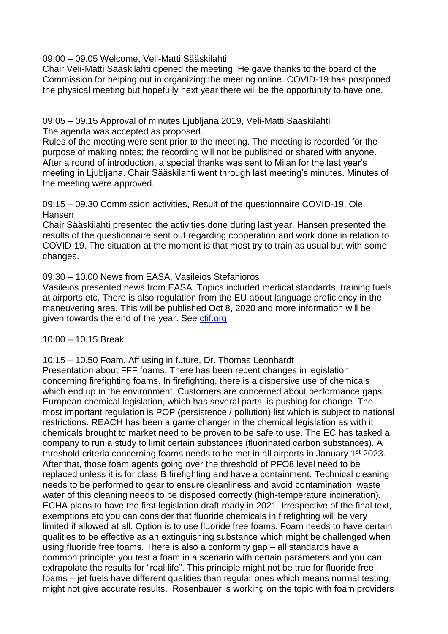09:00 – 09.05 Welcome, Veli-Matti Sääskilahti

Chair Veli-Matti Sääskilahti opened the meeting. He gave thanks to the board of the Commission for helping out in organizing the meeting online. COVID-19 has postponed the physical meeting but hopefully next year there will be the opportunity to have one.

09:05 – 09.15 Approval of minutes Ljubljana 2019, Veli-Matti Sääskilahti The agenda was accepted as proposed.

Rules of the meeting were sent prior to the meeting. The meeting is recorded for the purpose of making notes; the recording will not be published or shared with anyone. After a round of introduction, a special thanks was sent to Milan for the last year's meeting in Ljubljana. Chair Sääskilahti went through last meeting's minutes. Minutes of the meeting were approved.

09:15 – 09.30 Commission activities, Result of the questionnaire COVID-19, Ole Hansen

Chair Sääskilahti presented the activities done during last year. Hansen presented the results of the questionnaire sent out regarding cooperation and work done in relation to COVID-19. The situation at the moment is that most try to train as usual but with some changes.

09:30 – 10.00 News from EASA, Vasileios Stefanioros

Vasileios presented news from EASA. Topics included medical standards, training fuels at airports etc. There is also regulation from the EU about language proficiency in the maneuvering area. This will be published Oct 8, 2020 and more information will be given towards the end of the year. See [ctif.org](https://www.ctif.org/commissions-and-groups/fire-and-rescue-airports)

10:00 – 10.15 Break

10:15 – 10.50 Foam, Aff using in future, Dr. Thomas Leonhardt

Presentation about FFF foams. There has been recent changes in legislation concerning firefighting foams. In firefighting, there is a dispersive use of chemicals which end up in the environment. Customers are concerned about performance gaps. European chemical legislation, which has several parts, is pushing for change. The most important regulation is POP (persistence / pollution) list which is subject to national restrictions. REACH has been a game changer in the chemical legislation as with it chemicals brought to market need to be proven to be safe to use. The EC has tasked a company to run a study to limit certain substances (fluorinated carbon substances). A threshold criteria concerning foams needs to be met in all airports in January 1st 2023. After that, those foam agents going over the threshold of PFO8 level need to be replaced unless it is for class B firefighting and have a containment. Technical cleaning needs to be performed to gear to ensure cleanliness and avoid contamination; waste water of this cleaning needs to be disposed correctly (high-temperature incineration). ECHA plans to have the first legislation draft ready in 2021. Irrespective of the final text, exemptions etc you can consider that fluoride chemicals in firefighting will be very limited if allowed at all. Option is to use fluoride free foams. Foam needs to have certain qualities to be effective as an extinguishing substance which might be challenged when using fluoride free foams. There is also a conformity gap – all standards have a common principle: you test a foam in a scenario with certain parameters and you can extrapolate the results for "real life". This principle might not be true for fluoride free foams – jet fuels have different qualities than regular ones which means normal testing might not give accurate results. Rosenbauer is working on the topic with foam providers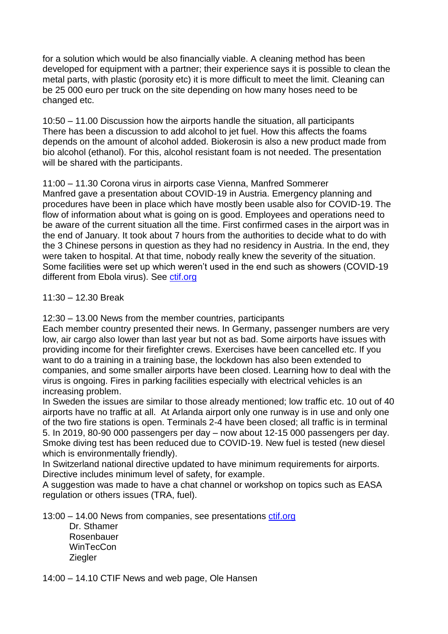for a solution which would be also financially viable. A cleaning method has been developed for equipment with a partner; their experience says it is possible to clean the metal parts, with plastic (porosity etc) it is more difficult to meet the limit. Cleaning can be 25 000 euro per truck on the site depending on how many hoses need to be changed etc.

10:50 – 11.00 Discussion how the airports handle the situation, all participants There has been a discussion to add alcohol to jet fuel. How this affects the foams depends on the amount of alcohol added. Biokerosin is also a new product made from bio alcohol (ethanol). For this, alcohol resistant foam is not needed. The presentation will be shared with the participants.

11:00 – 11.30 Corona virus in airports case Vienna, Manfred Sommerer Manfred gave a presentation about COVID-19 in Austria. Emergency planning and procedures have been in place which have mostly been usable also for COVID-19. The flow of information about what is going on is good. Employees and operations need to be aware of the current situation all the time. First confirmed cases in the airport was in the end of January. It took about 7 hours from the authorities to decide what to do with the 3 Chinese persons in question as they had no residency in Austria. In the end, they were taken to hospital. At that time, nobody really knew the severity of the situation. Some facilities were set up which weren't used in the end such as showers (COVID-19 different from Ebola virus). See [ctif.org](https://www.ctif.org/commissions-and-groups/fire-and-rescue-airports)

11:30 – 12.30 Break

12:30 – 13.00 News from the member countries, participants

Each member country presented their news. In Germany, passenger numbers are very low, air cargo also lower than last year but not as bad. Some airports have issues with providing income for their firefighter crews. Exercises have been cancelled etc. If you want to do a training in a training base, the lockdown has also been extended to companies, and some smaller airports have been closed. Learning how to deal with the virus is ongoing. Fires in parking facilities especially with electrical vehicles is an increasing problem.

In Sweden the issues are similar to those already mentioned; low traffic etc. 10 out of 40 airports have no traffic at all. At Arlanda airport only one runway is in use and only one of the two fire stations is open. Terminals 2-4 have been closed; all traffic is in terminal 5. In 2019, 80-90 000 passengers per day – now about 12-15 000 passengers per day. Smoke diving test has been reduced due to COVID-19. New fuel is tested (new diesel which is environmentally friendly).

In Switzerland national directive updated to have minimum requirements for airports. Directive includes minimum level of safety, for example.

A suggestion was made to have a chat channel or workshop on topics such as EASA regulation or others issues (TRA, fuel).

13:00 – 14.00 News from companies, see presentations [ctif.org](https://www.ctif.org/commissions-and-groups/fire-and-rescue-airports)

Dr. Sthamer Rosenbauer **WinTecCon Ziegler** 

14:00 – 14.10 CTIF News and web page, Ole Hansen